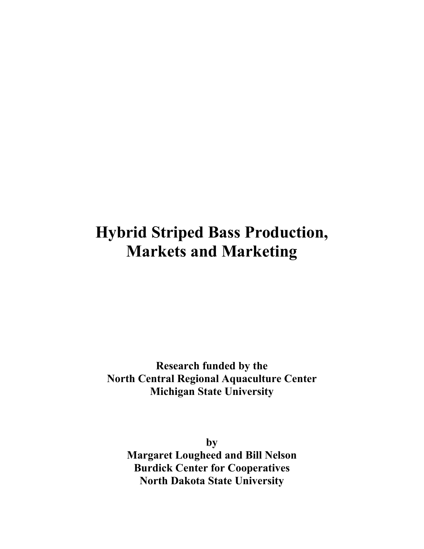# **Hybrid Striped Bass Production, Markets and Marketing**

**Research funded by the North Central Regional Aquaculture Center Michigan State University**

**by Margaret Lougheed and Bill Nelson Burdick Center for Cooperatives North Dakota State University**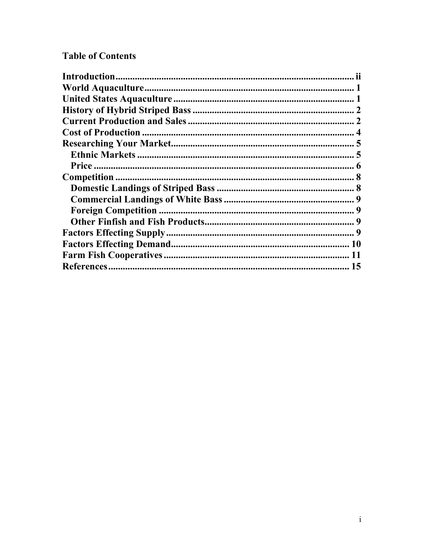## **Table of Contents**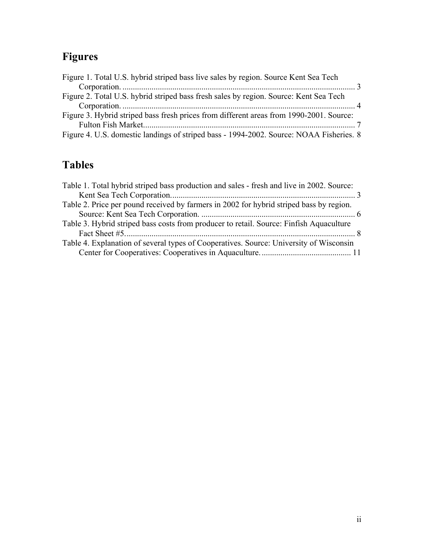## **Figures**

| Figure 1. Total U.S. hybrid striped bass live sales by region. Source Kent Sea Tech     |  |
|-----------------------------------------------------------------------------------------|--|
|                                                                                         |  |
| Figure 2. Total U.S. hybrid striped bass fresh sales by region. Source: Kent Sea Tech   |  |
|                                                                                         |  |
| Figure 3. Hybrid striped bass fresh prices from different areas from 1990-2001. Source: |  |
|                                                                                         |  |
| Figure 4. U.S. domestic landings of striped bass - 1994-2002. Source: NOAA Fisheries. 8 |  |

## **Tables**

| Table 1. Total hybrid striped bass production and sales - fresh and live in 2002. Source: |
|-------------------------------------------------------------------------------------------|
|                                                                                           |
|                                                                                           |
|                                                                                           |
|                                                                                           |
|                                                                                           |
| Table 4. Explanation of several types of Cooperatives. Source: University of Wisconsin    |
|                                                                                           |
|                                                                                           |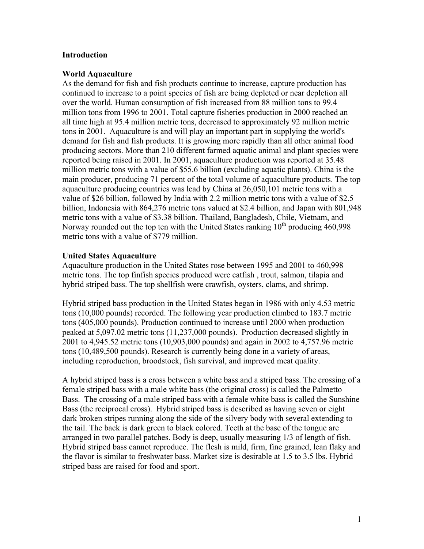#### **Introduction**

#### **World Aquaculture**

As the demand for fish and fish products continue to increase, capture production has continued to increase to a point species of fish are being depleted or near depletion all over the world. Human consumption of fish increased from 88 million tons to 99.4 million tons from 1996 to 2001. Total capture fisheries production in 2000 reached an all time high at 95.4 million metric tons, decreased to approximately 92 million metric tons in 2001. Aquaculture is and will play an important part in supplying the world's demand for fish and fish products. It is growing more rapidly than all other animal food producing sectors. More than 210 different farmed aquatic animal and plant species were reported being raised in 2001. In 2001, aquaculture production was reported at 35.48 million metric tons with a value of \$55.6 billion (excluding aquatic plants). China is the main producer, producing 71 percent of the total volume of aquaculture products. The top aquaculture producing countries was lead by China at 26,050,101 metric tons with a value of \$26 billion, followed by India with 2.2 million metric tons with a value of \$2.5 billion, Indonesia with 864,276 metric tons valued at \$2.4 billion, and Japan with 801,948 metric tons with a value of \$3.38 billion. Thailand, Bangladesh, Chile, Vietnam, and Norway rounded out the top ten with the United States ranking  $10<sup>th</sup>$  producing 460,998 metric tons with a value of \$779 million.

#### **United States Aquaculture**

Aquaculture production in the United States rose between 1995 and 2001 to 460,998 metric tons. The top finfish species produced were catfish , trout, salmon, tilapia and hybrid striped bass. The top shellfish were crawfish, oysters, clams, and shrimp.

Hybrid striped bass production in the United States began in 1986 with only 4.53 metric tons (10,000 pounds) recorded. The following year production climbed to 183.7 metric tons (405,000 pounds). Production continued to increase until 2000 when production peaked at 5,097.02 metric tons (11,237,000 pounds). Production decreased slightly in 2001 to 4,945.52 metric tons (10,903,000 pounds) and again in 2002 to 4,757.96 metric tons (10,489,500 pounds). Research is currently being done in a variety of areas, including reproduction, broodstock, fish survival, and improved meat quality.

A hybrid striped bass is a cross between a white bass and a striped bass. The crossing of a female striped bass with a male white bass (the original cross) is called the Palmetto Bass. The crossing of a male striped bass with a female white bass is called the Sunshine Bass (the reciprocal cross). Hybrid striped bass is described as having seven or eight dark broken stripes running along the side of the silvery body with several extending to the tail. The back is dark green to black colored. Teeth at the base of the tongue are arranged in two parallel patches. Body is deep, usually measuring 1/3 of length of fish. Hybrid striped bass cannot reproduce. The flesh is mild, firm, fine grained, lean flaky and the flavor is similar to freshwater bass. Market size is desirable at 1.5 to 3.5 lbs. Hybrid striped bass are raised for food and sport.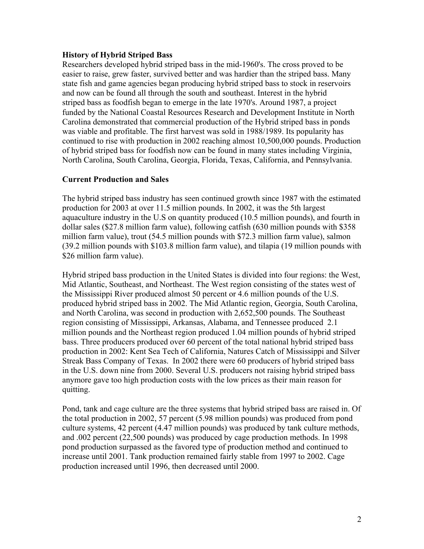#### **History of Hybrid Striped Bass**

Researchers developed hybrid striped bass in the mid-1960's. The cross proved to be easier to raise, grew faster, survived better and was hardier than the striped bass. Many state fish and game agencies began producing hybrid striped bass to stock in reservoirs and now can be found all through the south and southeast. Interest in the hybrid striped bass as foodfish began to emerge in the late 1970's. Around 1987, a project funded by the National Coastal Resources Research and Development Institute in North Carolina demonstrated that commercial production of the Hybrid striped bass in ponds was viable and profitable. The first harvest was sold in 1988/1989. Its popularity has continued to rise with production in 2002 reaching almost 10,500,000 pounds. Production of hybrid striped bass for foodfish now can be found in many states including Virginia, North Carolina, South Carolina, Georgia, Florida, Texas, California, and Pennsylvania.

### **Current Production and Sales**

The hybrid striped bass industry has seen continued growth since 1987 with the estimated production for 2003 at over 11.5 million pounds. In 2002, it was the 5th largest aquaculture industry in the U.S on quantity produced (10.5 million pounds), and fourth in dollar sales (\$27.8 million farm value), following catfish (630 million pounds with \$358 million farm value), trout (54.5 million pounds with \$72.3 million farm value), salmon (39.2 million pounds with \$103.8 million farm value), and tilapia (19 million pounds with \$26 million farm value).

Hybrid striped bass production in the United States is divided into four regions: the West, Mid Atlantic, Southeast, and Northeast. The West region consisting of the states west of the Mississippi River produced almost 50 percent or 4.6 million pounds of the U.S. produced hybrid striped bass in 2002. The Mid Atlantic region, Georgia, South Carolina, and North Carolina, was second in production with 2,652,500 pounds. The Southeast region consisting of Mississippi, Arkansas, Alabama, and Tennessee produced 2.1 million pounds and the Northeast region produced 1.04 million pounds of hybrid striped bass. Three producers produced over 60 percent of the total national hybrid striped bass production in 2002: Kent Sea Tech of California, Natures Catch of Mississippi and Silver Streak Bass Company of Texas. In 2002 there were 60 producers of hybrid striped bass in the U.S. down nine from 2000. Several U.S. producers not raising hybrid striped bass anymore gave too high production costs with the low prices as their main reason for quitting.

Pond, tank and cage culture are the three systems that hybrid striped bass are raised in. Of the total production in 2002, 57 percent (5.98 million pounds) was produced from pond culture systems, 42 percent (4.47 million pounds) was produced by tank culture methods, and .002 percent (22,500 pounds) was produced by cage production methods. In 1998 pond production surpassed as the favored type of production method and continued to increase until 2001. Tank production remained fairly stable from 1997 to 2002. Cage production increased until 1996, then decreased until 2000.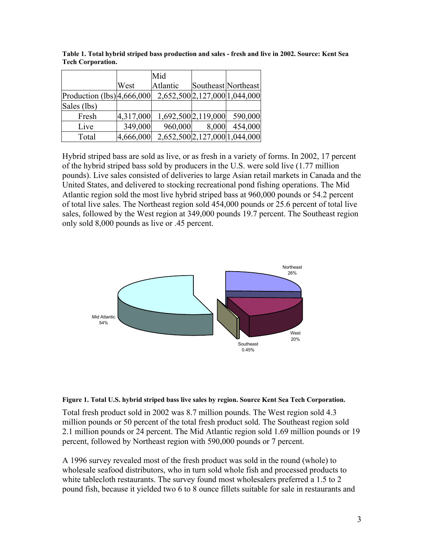|                              |           | Mid                           |                     |                               |
|------------------------------|-----------|-------------------------------|---------------------|-------------------------------|
|                              | West      | Atlantic                      |                     | Southeast Northeast           |
| Production $(lbs)$ 4,666,000 |           | 2,652,500 2,127,000 1,044,000 |                     |                               |
| Sales (lbs)                  |           |                               |                     |                               |
| Fresh                        | 4,317,000 |                               | 1,692,500 2,119,000 | 590,000                       |
| Live                         | 349,000   | 960,000                       | 8,000               | 454,000                       |
| Total                        | 4,666,000 |                               |                     | 2,652,500 2,127,000 1,044,000 |

**Table 1. Total hybrid striped bass production and sales - fresh and live in 2002. Source: Kent Sea Tech Corporation.** 

Hybrid striped bass are sold as live, or as fresh in a variety of forms. In 2002, 17 percent of the hybrid striped bass sold by producers in the U.S. were sold live (1.77 million pounds). Live sales consisted of deliveries to large Asian retail markets in Canada and the United States, and delivered to stocking recreational pond fishing operations. The Mid Atlantic region sold the most live hybrid striped bass at 960,000 pounds or 54.2 percent of total live sales. The Northeast region sold 454,000 pounds or 25.6 percent of total live sales, followed by the West region at 349,000 pounds 19.7 percent. The Southeast region only sold 8,000 pounds as live or .45 percent.





Total fresh product sold in 2002 was 8.7 million pounds. The West region sold 4.3 million pounds or 50 percent of the total fresh product sold. The Southeast region sold 2.1 million pounds or 24 percent. The Mid Atlantic region sold 1.69 million pounds or 19 percent, followed by Northeast region with 590,000 pounds or 7 percent.

A 1996 survey revealed most of the fresh product was sold in the round (whole) to wholesale seafood distributors, who in turn sold whole fish and processed products to white tablecloth restaurants. The survey found most wholesalers preferred a 1.5 to 2 pound fish, because it yielded two 6 to 8 ounce fillets suitable for sale in restaurants and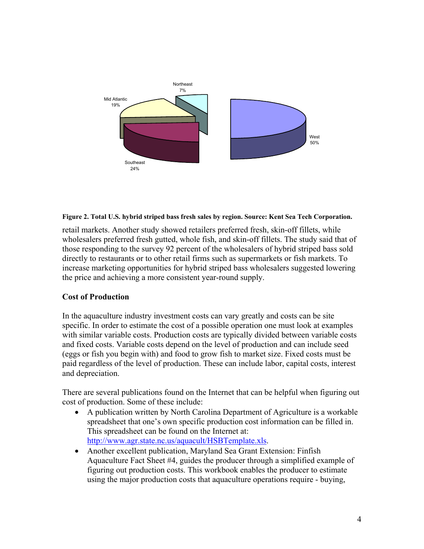

#### **Figure 2. Total U.S. hybrid striped bass fresh sales by region. Source: Kent Sea Tech Corporation.**

retail markets. Another study showed retailers preferred fresh, skin-off fillets, while wholesalers preferred fresh gutted, whole fish, and skin-off fillets. The study said that of those responding to the survey 92 percent of the wholesalers of hybrid striped bass sold directly to restaurants or to other retail firms such as supermarkets or fish markets. To increase marketing opportunities for hybrid striped bass wholesalers suggested lowering the price and achieving a more consistent year-round supply.

#### **Cost of Production**

In the aquaculture industry investment costs can vary greatly and costs can be site specific. In order to estimate the cost of a possible operation one must look at examples with similar variable costs. Production costs are typically divided between variable costs and fixed costs. Variable costs depend on the level of production and can include seed (eggs or fish you begin with) and food to grow fish to market size. Fixed costs must be paid regardless of the level of production. These can include labor, capital costs, interest and depreciation.

There are several publications found on the Internet that can be helpful when figuring out cost of production. Some of these include:

- A publication written by North Carolina Department of Agriculture is a workable spreadsheet that one's own specific production cost information can be filled in. This spreadsheet can be found on the Internet at: http://www.agr.state.nc.us/aquacult/HSBTemplate.xls.
- Another excellent publication, Maryland Sea Grant Extension: Finfish Aquaculture Fact Sheet #4, guides the producer through a simplified example of figuring out production costs. This workbook enables the producer to estimate using the major production costs that aquaculture operations require - buying,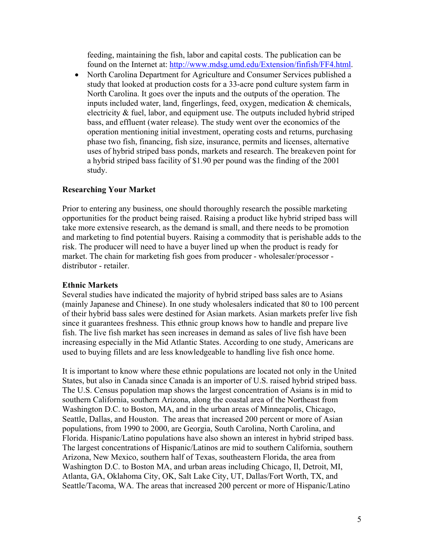feeding, maintaining the fish, labor and capital costs. The publication can be found on the Internet at: http://www.mdsg.umd.edu/Extension/finfish/FF4.html.

• North Carolina Department for Agriculture and Consumer Services published a study that looked at production costs for a 33-acre pond culture system farm in North Carolina. It goes over the inputs and the outputs of the operation. The inputs included water, land, fingerlings, feed, oxygen, medication & chemicals, electricity  $\&$  fuel, labor, and equipment use. The outputs included hybrid striped bass, and effluent (water release). The study went over the economics of the operation mentioning initial investment, operating costs and returns, purchasing phase two fish, financing, fish size, insurance, permits and licenses, alternative uses of hybrid striped bass ponds, markets and research. The breakeven point for a hybrid striped bass facility of \$1.90 per pound was the finding of the 2001 study.

### **Researching Your Market**

Prior to entering any business, one should thoroughly research the possible marketing opportunities for the product being raised. Raising a product like hybrid striped bass will take more extensive research, as the demand is small, and there needs to be promotion and marketing to find potential buyers. Raising a commodity that is perishable adds to the risk. The producer will need to have a buyer lined up when the product is ready for market. The chain for marketing fish goes from producer - wholesaler/processor distributor - retailer.

### **Ethnic Markets**

Several studies have indicated the majority of hybrid striped bass sales are to Asians (mainly Japanese and Chinese). In one study wholesalers indicated that 80 to 100 percent of their hybrid bass sales were destined for Asian markets. Asian markets prefer live fish since it guarantees freshness. This ethnic group knows how to handle and prepare live fish. The live fish market has seen increases in demand as sales of live fish have been increasing especially in the Mid Atlantic States. According to one study, Americans are used to buying fillets and are less knowledgeable to handling live fish once home.

It is important to know where these ethnic populations are located not only in the United States, but also in Canada since Canada is an importer of U.S. raised hybrid striped bass. The U.S. Census population map shows the largest concentration of Asians is in mid to southern California, southern Arizona, along the coastal area of the Northeast from Washington D.C. to Boston, MA, and in the urban areas of Minneapolis, Chicago, Seattle, Dallas, and Houston. The areas that increased 200 percent or more of Asian populations, from 1990 to 2000, are Georgia, South Carolina, North Carolina, and Florida. Hispanic/Latino populations have also shown an interest in hybrid striped bass. The largest concentrations of Hispanic/Latinos are mid to southern California, southern Arizona, New Mexico, southern half of Texas, southeastern Florida, the area from Washington D.C. to Boston MA, and urban areas including Chicago, Il, Detroit, MI, Atlanta, GA, Oklahoma City, OK, Salt Lake City, UT, Dallas/Fort Worth, TX, and Seattle/Tacoma, WA. The areas that increased 200 percent or more of Hispanic/Latino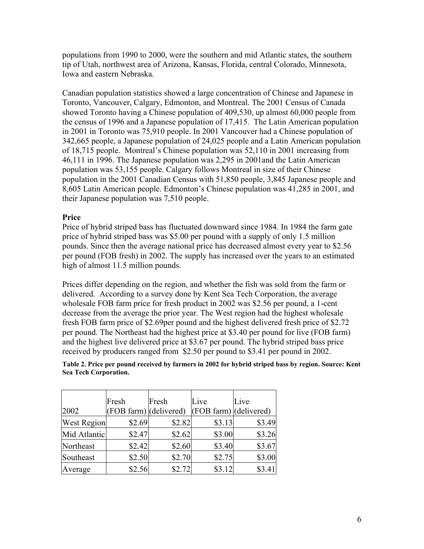populations from 1990 to 2000, were the southern and mid Atlantic states, the southern tip of Utah, northwest area of Arizona, Kansas, Florida, central Colorado, Minnesota, Iowa and eastern Nebraska.

Canadian population statistics showed a large concentration of Chinese and Japanese in Toronto, Vancouver, Calgary, Edmonton, and Montreal. The 2001 Census of Canada showed Toronto having a Chinese population of 409,530, up almost 60,000 people from the census of 1996 and a Japanese population of 17,415. The Latin American population in 2001 in Toronto was 75,910 people. In 2001 Vancouver had a Chinese population of 342,665 people, a Japanese population of 24,025 people and a Latin American population of 18,715 people. Montreal's Chinese population was 52,110 in 2001 increasing from 46,111 in 1996. The Japanese population was 2,295 in 2001and the Latin American population was 53,155 people. Calgary follows Montreal in size of their Chinese population in the 2001 Canadian Census with 51,850 people, 3,845 Japanese people and 8,605 Latin American people. Edmonton's Chinese population was 41,285 in 2001, and their Japanese population was 7,510 people.

### **Price**

Price of hybrid striped bass has fluctuated downward since 1984. In 1984 the farm gate price of hybrid striped bass was \$5.00 per pound with a supply of only 1.5 million pounds. Since then the average national price has decreased almost every year to \$2.56 per pound (FOB fresh) in 2002. The supply has increased over the years to an estimated high of almost 11.5 million pounds.

Prices differ depending on the region, and whether the fish was sold from the farm or delivered. According to a survey done by Kent Sea Tech Corporation, the average wholesale FOB farm price for fresh product in 2002 was \$2.56 per pound, a 1-cent decrease from the average the prior year. The West region had the highest wholesale fresh FOB farm price of \$2.69per pound and the highest delivered fresh price of \$2.72 per pound. The Northeast had the highest price at \$3.40 per pound for live (FOB farm) and the highest live delivered price at \$3.67 per pound. The hybrid striped bass price received by producers ranged from \$2.50 per pound to \$3.41 per pound in 2002.

| Table 2. Price per pound received by farmers in 2002 for hybrid striped bass by region. Source: Kent |  |
|------------------------------------------------------------------------------------------------------|--|
| Sea Tech Corporation.                                                                                |  |

|                    | Fresh                  | Fresh  | Live                              | Live   |
|--------------------|------------------------|--------|-----------------------------------|--------|
| 2002               | (FOB farm) (delivered) |        | $ (\text{FOB farm}) $ (delivered) |        |
| <b>West Region</b> | \$2.69                 | \$2.82 | \$3.13                            | \$3.49 |
| Mid Atlantic       | \$2.47                 | \$2.62 | \$3.00                            | \$3.26 |
| Northeast          | \$2.42                 | \$2.60 | \$3.40                            | \$3.67 |
| Southeast          | \$2.50                 | \$2.70 | \$2.75                            | \$3.00 |
| Average            | \$2.56                 | \$2.72 | \$3.12                            | \$3.41 |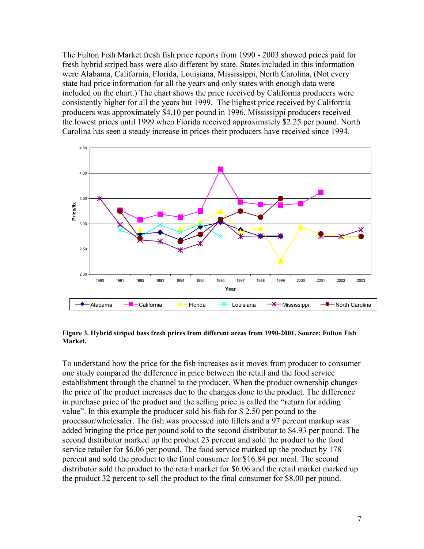The Fulton Fish Market fresh fish price reports from 1990 - 2003 showed prices paid for fresh hybrid striped bass were also different by state. States included in this information were Alabama, California, Florida, Louisiana, Mississippi, North Carolina, (Not every state had price information for all the years and only states with enough data were included on the chart.) The chart shows the price received by California producers were consistently higher for all the years but 1999. The highest price received by California producers was approximately \$4.10 per pound in 1996. Mississippi producers received the lowest prices until 1999 when Florida received approximately \$2.25 per pound. North Carolina has seen a steady increase in prices their producers have received since 1994.



#### **Figure 3. Hybrid striped bass fresh prices from different areas from 1990-2001. Source: Fulton Fish Market.**

To understand how the price for the fish increases as it moves from producer to consumer one study compared the difference in price between the retail and the food service establishment through the channel to the producer. When the product ownership changes the price of the product increases due to the changes done to the product. The difference in purchase price of the product and the selling price is called the "return for adding value". In this example the producer sold his fish for \$ 2.50 per pound to the processor/wholesaler. The fish was processed into fillets and a 97 percent markup was added bringing the price per pound sold to the second distributor to \$4.93 per pound. The second distributor marked up the product 23 percent and sold the product to the food service retailer for \$6.06 per pound. The food service marked up the product by 178 percent and sold the product to the final consumer for \$16.84 per meal. The second distributor sold the product to the retail market for \$6.06 and the retail market marked up the product 32 percent to sell the product to the final consumer for \$8.00 per pound.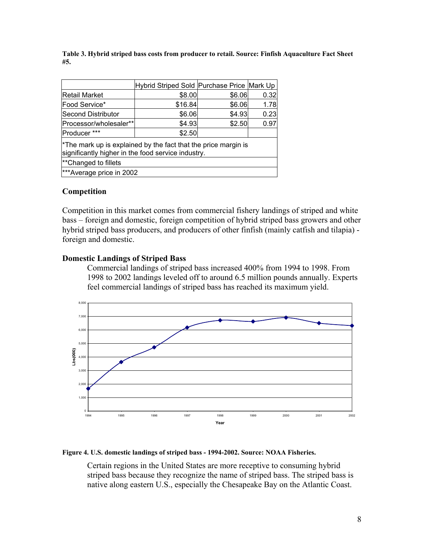**Table 3. Hybrid striped bass costs from producer to retail. Source: Finfish Aquaculture Fact Sheet #5.** 

|                                                                                                                                  | Hybrid Striped Sold Purchase Price Mark Up |        |      |  |
|----------------------------------------------------------------------------------------------------------------------------------|--------------------------------------------|--------|------|--|
| Retail Market                                                                                                                    | \$8.00                                     | \$6.06 | 0.32 |  |
| Food Service*                                                                                                                    | \$16.84                                    | \$6.06 | 1.78 |  |
| <b>Second Distributor</b>                                                                                                        | \$6.06                                     | \$4.93 | 0.23 |  |
| Processor/wholesaler**                                                                                                           | \$4.93                                     | \$2.50 | 0.97 |  |
| Producer ***                                                                                                                     | \$2.50                                     |        |      |  |
| <sup>*</sup> The mark up is explained by the fact that the price margin is<br>significantly higher in the food service industry. |                                            |        |      |  |
| <sup>**</sup> Changed to fillets                                                                                                 |                                            |        |      |  |
| ***Average price in 2002                                                                                                         |                                            |        |      |  |

#### **Competition**

Competition in this market comes from commercial fishery landings of striped and white bass – foreign and domestic, foreign competition of hybrid striped bass growers and other hybrid striped bass producers, and producers of other finfish (mainly catfish and tilapia) foreign and domestic.

#### **Domestic Landings of Striped Bass**

Commercial landings of striped bass increased 400% from 1994 to 1998. From 1998 to 2002 landings leveled off to around 6.5 million pounds annually. Experts feel commercial landings of striped bass has reached its maximum yield.



#### **Figure 4. U.S. domestic landings of striped bass - 1994-2002. Source: NOAA Fisheries.**

Certain regions in the United States are more receptive to consuming hybrid striped bass because they recognize the name of striped bass. The striped bass is native along eastern U.S., especially the Chesapeake Bay on the Atlantic Coast.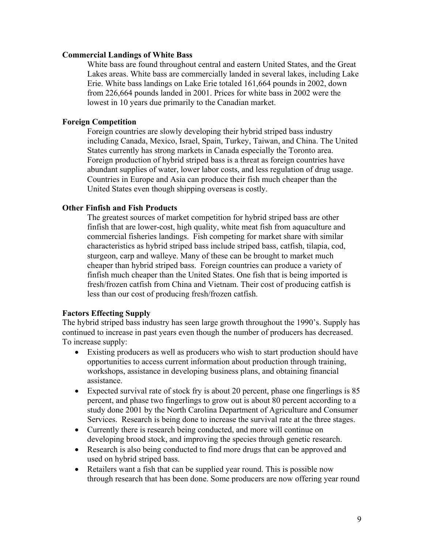#### **Commercial Landings of White Bass**

White bass are found throughout central and eastern United States, and the Great Lakes areas. White bass are commercially landed in several lakes, including Lake Erie. White bass landings on Lake Erie totaled 161,664 pounds in 2002, down from 226,664 pounds landed in 2001. Prices for white bass in 2002 were the lowest in 10 years due primarily to the Canadian market.

### **Foreign Competition**

Foreign countries are slowly developing their hybrid striped bass industry including Canada, Mexico, Israel, Spain, Turkey, Taiwan, and China. The United States currently has strong markets in Canada especially the Toronto area. Foreign production of hybrid striped bass is a threat as foreign countries have abundant supplies of water, lower labor costs, and less regulation of drug usage. Countries in Europe and Asia can produce their fish much cheaper than the United States even though shipping overseas is costly.

#### **Other Finfish and Fish Products**

The greatest sources of market competition for hybrid striped bass are other finfish that are lower-cost, high quality, white meat fish from aquaculture and commercial fisheries landings. Fish competing for market share with similar characteristics as hybrid striped bass include striped bass, catfish, tilapia, cod, sturgeon, carp and walleye. Many of these can be brought to market much cheaper than hybrid striped bass. Foreign countries can produce a variety of finfish much cheaper than the United States. One fish that is being imported is fresh/frozen catfish from China and Vietnam. Their cost of producing catfish is less than our cost of producing fresh/frozen catfish.

#### **Factors Effecting Supply**

The hybrid striped bass industry has seen large growth throughout the 1990's. Supply has continued to increase in past years even though the number of producers has decreased. To increase supply:

- Existing producers as well as producers who wish to start production should have opportunities to access current information about production through training, workshops, assistance in developing business plans, and obtaining financial assistance.
- Expected survival rate of stock fry is about 20 percent, phase one fingerlings is 85 percent, and phase two fingerlings to grow out is about 80 percent according to a study done 2001 by the North Carolina Department of Agriculture and Consumer Services. Research is being done to increase the survival rate at the three stages.
- Currently there is research being conducted, and more will continue on developing brood stock, and improving the species through genetic research.
- Research is also being conducted to find more drugs that can be approved and used on hybrid striped bass.
- Retailers want a fish that can be supplied year round. This is possible now through research that has been done. Some producers are now offering year round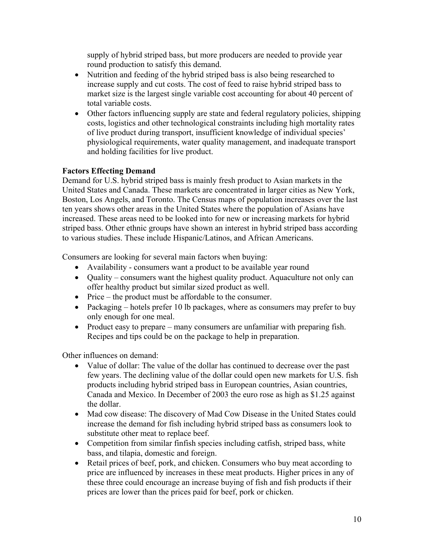supply of hybrid striped bass, but more producers are needed to provide year round production to satisfy this demand.

- Nutrition and feeding of the hybrid striped bass is also being researched to increase supply and cut costs. The cost of feed to raise hybrid striped bass to market size is the largest single variable cost accounting for about 40 percent of total variable costs.
- Other factors influencing supply are state and federal regulatory policies, shipping costs, logistics and other technological constraints including high mortality rates of live product during transport, insufficient knowledge of individual species' physiological requirements, water quality management, and inadequate transport and holding facilities for live product.

## **Factors Effecting Demand**

Demand for U.S. hybrid striped bass is mainly fresh product to Asian markets in the United States and Canada. These markets are concentrated in larger cities as New York, Boston, Los Angels, and Toronto. The Census maps of population increases over the last ten years shows other areas in the United States where the population of Asians have increased. These areas need to be looked into for new or increasing markets for hybrid striped bass. Other ethnic groups have shown an interest in hybrid striped bass according to various studies. These include Hispanic/Latinos, and African Americans.

Consumers are looking for several main factors when buying:

- Availability consumers want a product to be available year round
- Quality consumers want the highest quality product. Aquaculture not only can offer healthy product but similar sized product as well.
- Price the product must be affordable to the consumer.
- Packaging hotels prefer 10 lb packages, where as consumers may prefer to buy only enough for one meal.
- Product easy to prepare many consumers are unfamiliar with preparing fish. Recipes and tips could be on the package to help in preparation.

Other influences on demand:

- Value of dollar: The value of the dollar has continued to decrease over the past few years. The declining value of the dollar could open new markets for U.S. fish products including hybrid striped bass in European countries, Asian countries, Canada and Mexico. In December of 2003 the euro rose as high as \$1.25 against the dollar.
- Mad cow disease: The discovery of Mad Cow Disease in the United States could increase the demand for fish including hybrid striped bass as consumers look to substitute other meat to replace beef.
- Competition from similar finfish species including catfish, striped bass, white bass, and tilapia, domestic and foreign.
- Retail prices of beef, pork, and chicken. Consumers who buy meat according to price are influenced by increases in these meat products. Higher prices in any of these three could encourage an increase buying of fish and fish products if their prices are lower than the prices paid for beef, pork or chicken.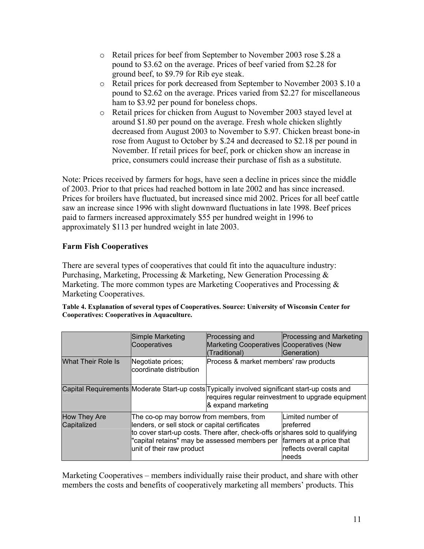- o Retail prices for beef from September to November 2003 rose \$.28 a pound to \$3.62 on the average. Prices of beef varied from \$2.28 for ground beef, to \$9.79 for Rib eye steak.
- o Retail prices for pork decreased from September to November 2003 \$.10 a pound to \$2.62 on the average. Prices varied from \$2.27 for miscellaneous ham to \$3.92 per pound for boneless chops.
- o Retail prices for chicken from August to November 2003 stayed level at around \$1.80 per pound on the average. Fresh whole chicken slightly decreased from August 2003 to November to \$.97. Chicken breast bone-in rose from August to October by \$.24 and decreased to \$2.18 per pound in November. If retail prices for beef, pork or chicken show an increase in price, consumers could increase their purchase of fish as a substitute.

Note: Prices received by farmers for hogs, have seen a decline in prices since the middle of 2003. Prior to that prices had reached bottom in late 2002 and has since increased. Prices for broilers have fluctuated, but increased since mid 2002. Prices for all beef cattle saw an increase since 1996 with slight downward fluctuations in late 1998. Beef prices paid to farmers increased approximately \$55 per hundred weight in 1996 to approximately \$113 per hundred weight in late 2003.

## **Farm Fish Cooperatives**

There are several types of cooperatives that could fit into the aquaculture industry: Purchasing, Marketing, Processing & Marketing, New Generation Processing & Marketing. The more common types are Marketing Cooperatives and Processing & Marketing Cooperatives.

|                                    | Simple Marketing<br>Cooperatives                                                                                                                                        | Processing and<br>Marketing Cooperatives Cooperatives (New<br>(Traditional)                                          | <b>Processing and Marketing</b><br>Generation)                                                                                                                                    |
|------------------------------------|-------------------------------------------------------------------------------------------------------------------------------------------------------------------------|----------------------------------------------------------------------------------------------------------------------|-----------------------------------------------------------------------------------------------------------------------------------------------------------------------------------|
| <b>What Their Role Is</b>          | Negotiate prices;<br>coordinate distribution                                                                                                                            | Process & market members' raw products                                                                               |                                                                                                                                                                                   |
|                                    |                                                                                                                                                                         | Capital Requirements Moderate Start-up costs Typically involved significant start-up costs and<br>& expand marketing | requires regular reinvestment to upgrade equipment                                                                                                                                |
| <b>How They Are</b><br>Capitalized | The co-op may borrow from members, from<br>lenders, or sell stock or capital certificates<br>"capital retains" may be assessed members per<br>unit of their raw product |                                                                                                                      | lLimited number of<br>preferred<br>to cover start-up costs. There after, check-offs or shares sold to qualifying<br>farmers at a price that<br>reflects overall capital<br>Ineeds |

| Table 4. Explanation of several types of Cooperatives. Source: University of Wisconsin Center for |  |
|---------------------------------------------------------------------------------------------------|--|
| Cooperatives: Cooperatives in Aquaculture.                                                        |  |

Marketing Cooperatives – members individually raise their product, and share with other members the costs and benefits of cooperatively marketing all members' products. This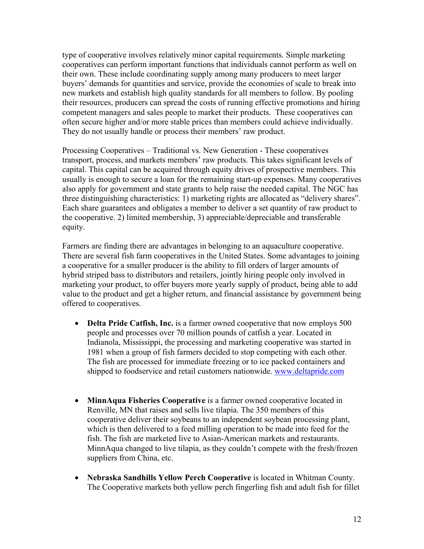type of cooperative involves relatively minor capital requirements. Simple marketing cooperatives can perform important functions that individuals cannot perform as well on their own. These include coordinating supply among many producers to meet larger buyers' demands for quantities and service, provide the economies of scale to break into new markets and establish high quality standards for all members to follow. By pooling their resources, producers can spread the costs of running effective promotions and hiring competent managers and sales people to market their products. These cooperatives can often secure higher and/or more stable prices than members could achieve individually. They do not usually handle or process their members' raw product.

Processing Cooperatives – Traditional vs. New Generation - These cooperatives transport, process, and markets members' raw products. This takes significant levels of capital. This capital can be acquired through equity drives of prospective members. This usually is enough to secure a loan for the remaining start-up expenses. Many cooperatives also apply for government and state grants to help raise the needed capital. The NGC has three distinguishing characteristics: 1) marketing rights are allocated as "delivery shares". Each share guarantees and obligates a member to deliver a set quantity of raw product to the cooperative. 2) limited membership, 3) appreciable/depreciable and transferable equity.

Farmers are finding there are advantages in belonging to an aquaculture cooperative. There are several fish farm cooperatives in the United States. Some advantages to joining a cooperative for a smaller producer is the ability to fill orders of larger amounts of hybrid striped bass to distributors and retailers, jointly hiring people only involved in marketing your product, to offer buyers more yearly supply of product, being able to add value to the product and get a higher return, and financial assistance by government being offered to cooperatives.

- **Delta Pride Catfish, Inc.** is a farmer owned cooperative that now employs 500 people and processes over 70 million pounds of catfish a year. Located in Indianola, Mississippi, the processing and marketing cooperative was started in 1981 when a group of fish farmers decided to stop competing with each other. The fish are processed for immediate freezing or to ice packed containers and shipped to foodservice and retail customers nationwide. www.deltapride.com
- **MinnAqua Fisheries Cooperative** is a farmer owned cooperative located in Renville, MN that raises and sells live tilapia. The 350 members of this cooperative deliver their soybeans to an independent soybean processing plant, which is then delivered to a feed milling operation to be made into feed for the fish. The fish are marketed live to Asian-American markets and restaurants. MinnAqua changed to live tilapia, as they couldn't compete with the fresh/frozen suppliers from China, etc.
- **Nebraska Sandhills Yellow Perch Cooperative** is located in Whitman County. The Cooperative markets both yellow perch fingerling fish and adult fish for fillet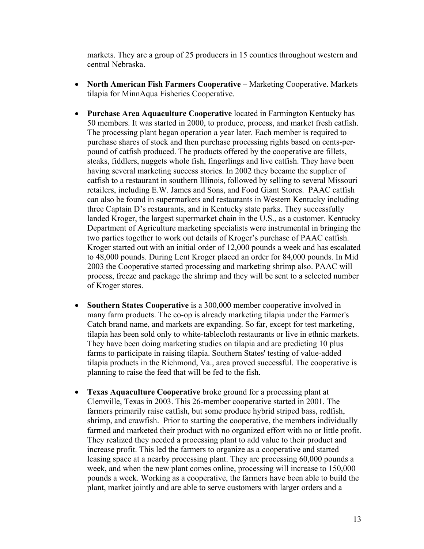markets. They are a group of 25 producers in 15 counties throughout western and central Nebraska.

- **North American Fish Farmers Cooperative** Marketing Cooperative. Markets tilapia for MinnAqua Fisheries Cooperative.
- **Purchase Area Aquaculture Cooperative** located in Farmington Kentucky has 50 members. It was started in 2000, to produce, process, and market fresh catfish. The processing plant began operation a year later. Each member is required to purchase shares of stock and then purchase processing rights based on cents-perpound of catfish produced. The products offered by the cooperative are fillets, steaks, fiddlers, nuggets whole fish, fingerlings and live catfish. They have been having several marketing success stories. In 2002 they became the supplier of catfish to a restaurant in southern Illinois, followed by selling to several Missouri retailers, including E.W. James and Sons, and Food Giant Stores. PAAC catfish can also be found in supermarkets and restaurants in Western Kentucky including three Captain D's restaurants, and in Kentucky state parks. They successfully landed Kroger, the largest supermarket chain in the U.S., as a customer. Kentucky Department of Agriculture marketing specialists were instrumental in bringing the two parties together to work out details of Kroger's purchase of PAAC catfish. Kroger started out with an initial order of 12,000 pounds a week and has escalated to 48,000 pounds. During Lent Kroger placed an order for 84,000 pounds. In Mid 2003 the Cooperative started processing and marketing shrimp also. PAAC will process, freeze and package the shrimp and they will be sent to a selected number of Kroger stores.
- **Southern States Cooperative** is a 300,000 member cooperative involved in many farm products. The co-op is already marketing tilapia under the Farmer's Catch brand name, and markets are expanding. So far, except for test marketing, tilapia has been sold only to white-tablecloth restaurants or live in ethnic markets. They have been doing marketing studies on tilapia and are predicting 10 plus farms to participate in raising tilapia. Southern States' testing of value-added tilapia products in the Richmond, Va., area proved successful. The cooperative is planning to raise the feed that will be fed to the fish.
- **Texas Aquaculture Cooperative** broke ground for a processing plant at Clemville, Texas in 2003. This 26-member cooperative started in 2001. The farmers primarily raise catfish, but some produce hybrid striped bass, redfish, shrimp, and crawfish. Prior to starting the cooperative, the members individually farmed and marketed their product with no organized effort with no or little profit. They realized they needed a processing plant to add value to their product and increase profit. This led the farmers to organize as a cooperative and started leasing space at a nearby processing plant. They are processing 60,000 pounds a week, and when the new plant comes online, processing will increase to 150,000 pounds a week. Working as a cooperative, the farmers have been able to build the plant, market jointly and are able to serve customers with larger orders and a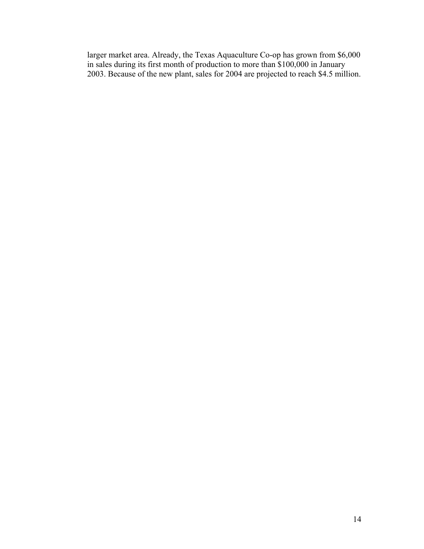larger market area. Already, the Texas Aquaculture Co-op has grown from \$6,000 in sales during its first month of production to more than \$100,000 in January 2003. Because of the new plant, sales for 2004 are projected to reach \$4.5 million.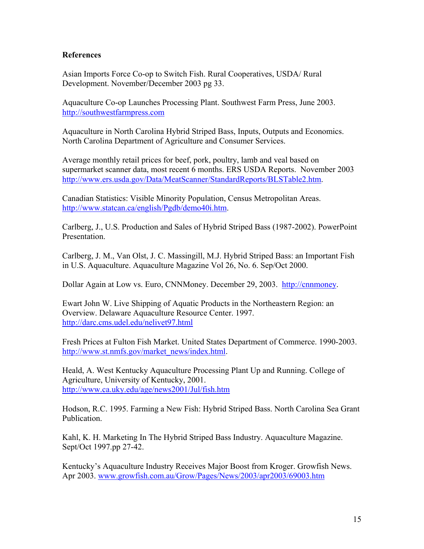#### **References**

Asian Imports Force Co-op to Switch Fish. Rural Cooperatives, USDA/ Rural Development. November/December 2003 pg 33.

Aquaculture Co-op Launches Processing Plant. Southwest Farm Press, June 2003. http://southwestfarmpress.com

Aquaculture in North Carolina Hybrid Striped Bass, Inputs, Outputs and Economics. North Carolina Department of Agriculture and Consumer Services.

Average monthly retail prices for beef, pork, poultry, lamb and veal based on supermarket scanner data, most recent 6 months. ERS USDA Reports. November 2003 http://www.ers.usda.gov/Data/MeatScanner/StandardReports/BLSTable2.htm.

Canadian Statistics: Visible Minority Population, Census Metropolitan Areas. http://www.statcan.ca/english/Pgdb/demo40i.htm.

Carlberg, J., U.S. Production and Sales of Hybrid Striped Bass (1987-2002). PowerPoint **Presentation** 

Carlberg, J. M., Van Olst, J. C. Massingill, M.J. Hybrid Striped Bass: an Important Fish in U.S. Aquaculture. Aquaculture Magazine Vol 26, No. 6. Sep/Oct 2000.

Dollar Again at Low vs. Euro, CNNMoney. December 29, 2003. http://cnnmoney.

Ewart John W. Live Shipping of Aquatic Products in the Northeastern Region: an Overview. Delaware Aquaculture Resource Center. 1997. http://darc.cms.udel.edu/nelivet97.html

Fresh Prices at Fulton Fish Market. United States Department of Commerce. 1990-2003. http://www.st.nmfs.gov/market\_news/index.html.

Heald, A. West Kentucky Aquaculture Processing Plant Up and Running. College of Agriculture, University of Kentucky, 2001. http://www.ca.uky.edu/age/news2001/Jul/fish.htm

Hodson, R.C. 1995. Farming a New Fish: Hybrid Striped Bass. North Carolina Sea Grant Publication.

Kahl, K. H. Marketing In The Hybrid Striped Bass Industry. Aquaculture Magazine. Sept/Oct 1997.pp 27-42.

Kentucky's Aquaculture Industry Receives Major Boost from Kroger. Growfish News. Apr 2003. www.growfish.com.au/Grow/Pages/News/2003/apr2003/69003.htm